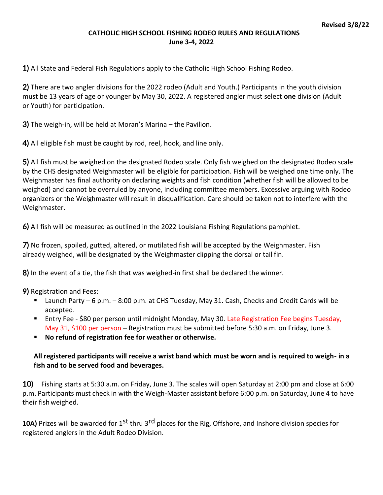#### **CATHOLIC HIGH SCHOOL FISHING RODEO RULES AND REGULATIONS June 3-4, 2022**

1) All State and Federal Fish Regulations apply to the Catholic High School Fishing Rodeo.

2) There are two angler divisions for the 2022 rodeo (Adult and Youth.) Participants in the youth division must be 13 years of age or younger by May 30, 2022. A registered angler must select **one** division (Adult or Youth) for participation.

3) The weigh-in, will be held at Moran's Marina – the Pavilion.

4) All eligible fish must be caught by rod, reel, hook, and line only.

5) All fish must be weighed on the designated Rodeo scale. Only fish weighed on the designated Rodeo scale by the CHS designated Weighmaster will be eligible for participation. Fish will be weighed one time only. The Weighmaster has final authority on declaring weights and fish condition (whether fish will be allowed to be weighed) and cannot be overruled by anyone, including committee members. Excessive arguing with Rodeo organizers or the Weighmaster will result in disqualification. Care should be taken not to interfere with the Weighmaster.

6) All fish will be measured as outlined in the 2022 Louisiana Fishing Regulations pamphlet.

7) No frozen, spoiled, gutted, altered, or mutilated fish will be accepted by the Weighmaster. Fish already weighed, will be designated by the Weighmaster clipping the dorsal or tail fin.

8) In the event of a tie, the fish that was weighed-in first shall be declared the winner.

9) Registration and Fees:

- Launch Party 6 p.m. 8:00 p.m. at CHS Tuesday, May 31. Cash, Checks and Credit Cards will be accepted.
- Entry Fee \$80 per person until midnight Monday, May 30. Late Registration Fee begins Tuesday, May 31, \$100 per person – Registration must be submitted before 5:30 a.m. on Friday, June 3.
- **No refund of registration fee for weather or otherwise.**

#### **All registered participants will receive a wrist band which must be worn and is required to weigh- in a fish and to be served food and beverages.**

**10)** Fishing starts at 5:30 a.m. on Friday, June 3. The scales will open Saturday at 2:00 pm and close at 6:00 p.m. Participants must check in with the Weigh-Master assistant before 6:00 p.m. on Saturday, June 4 to have their fish weighed.

**10A)** Prizes will be awarded for 1<sup>st</sup> thru 3<sup>rd</sup> places for the Rig, Offshore, and Inshore division species for registered anglers in the Adult Rodeo Division.